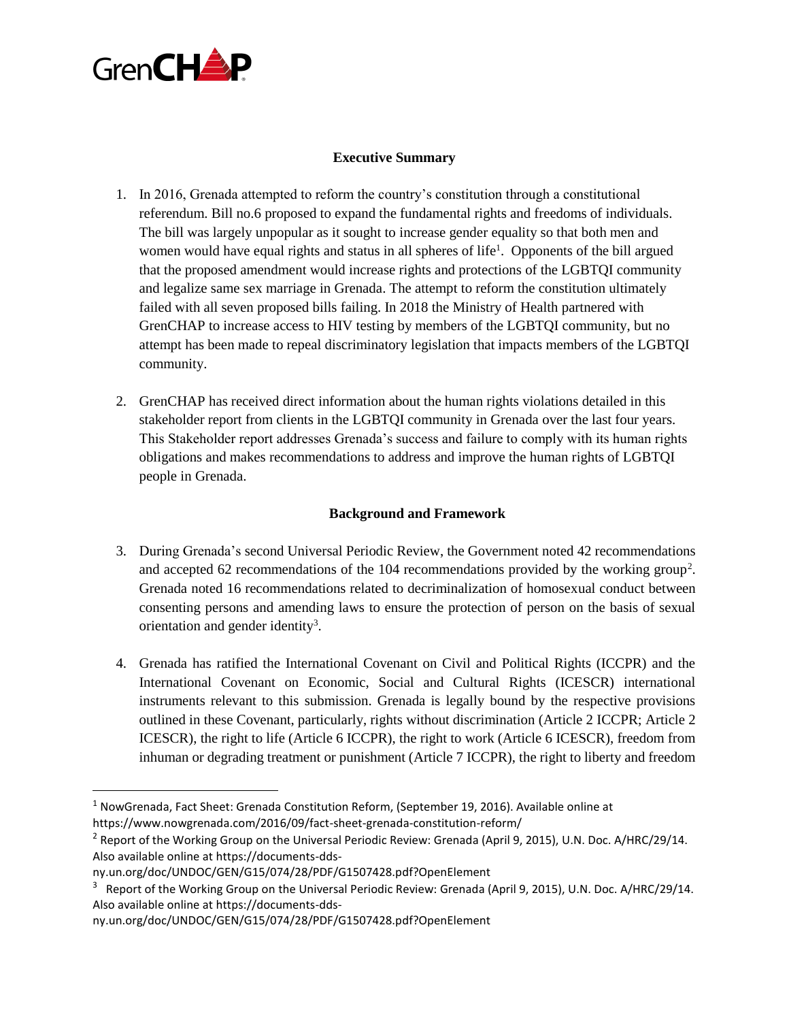

## **Executive Summary**

- 1. In 2016, Grenada attempted to reform the country's constitution through a constitutional referendum. Bill no.6 proposed to expand the fundamental rights and freedoms of individuals. The bill was largely unpopular as it sought to increase gender equality so that both men and women would have equal rights and status in all spheres of life<sup>1</sup>. Opponents of the bill argued that the proposed amendment would increase rights and protections of the LGBTQI community and legalize same sex marriage in Grenada. The attempt to reform the constitution ultimately failed with all seven proposed bills failing. In 2018 the Ministry of Health partnered with GrenCHAP to increase access to HIV testing by members of the LGBTQI community, but no attempt has been made to repeal discriminatory legislation that impacts members of the LGBTQI community.
- 2. GrenCHAP has received direct information about the human rights violations detailed in this stakeholder report from clients in the LGBTQI community in Grenada over the last four years. This Stakeholder report addresses Grenada's success and failure to comply with its human rights obligations and makes recommendations to address and improve the human rights of LGBTQI people in Grenada.

## **Background and Framework**

- 3. During Grenada's second Universal Periodic Review, the Government noted 42 recommendations and accepted 62 recommendations of the 104 recommendations provided by the working group<sup>2</sup>. Grenada noted 16 recommendations related to decriminalization of homosexual conduct between consenting persons and amending laws to ensure the protection of person on the basis of sexual orientation and gender identity<sup>3</sup>.
- 4. Grenada has ratified the International Covenant on Civil and Political Rights (ICCPR) and the International Covenant on Economic, Social and Cultural Rights (ICESCR) international instruments relevant to this submission. Grenada is legally bound by the respective provisions outlined in these Covenant, particularly, rights without discrimination (Article 2 ICCPR; Article 2 ICESCR), the right to life (Article 6 ICCPR), the right to work (Article 6 ICESCR), freedom from inhuman or degrading treatment or punishment (Article 7 ICCPR), the right to liberty and freedom

 $\overline{\phantom{a}}$ 

<sup>&</sup>lt;sup>1</sup> NowGrenada, Fact Sheet: Grenada Constitution Reform, (September 19, 2016). Available online at https://www.nowgrenada.com/2016/09/fact-sheet-grenada-constitution-reform/

<sup>2</sup> Report of the Working Group on the Universal Periodic Review: Grenada (April 9, 2015), U.N. Doc. A/HRC/29/14. Also available online at https://documents-dds-

ny.un.org/doc/UNDOC/GEN/G15/074/28/PDF/G1507428.pdf?OpenElement

<sup>&</sup>lt;sup>3</sup> Report of the Working Group on the Universal Periodic Review: Grenada (April 9, 2015), U.N. Doc. A/HRC/29/14. Also available online at https://documents-dds-

ny.un.org/doc/UNDOC/GEN/G15/074/28/PDF/G1507428.pdf?OpenElement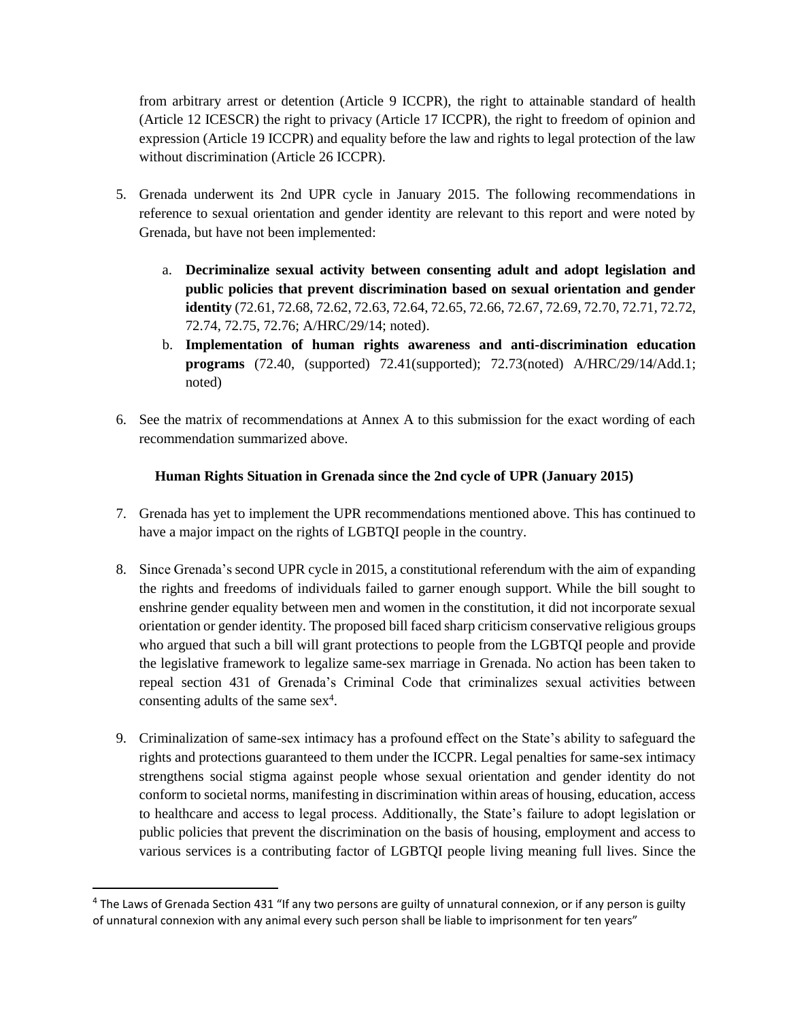from arbitrary arrest or detention (Article 9 ICCPR), the right to attainable standard of health (Article 12 ICESCR) the right to privacy (Article 17 ICCPR), the right to freedom of opinion and expression (Article 19 ICCPR) and equality before the law and rights to legal protection of the law without discrimination (Article 26 ICCPR).

- 5. Grenada underwent its 2nd UPR cycle in January 2015. The following recommendations in reference to sexual orientation and gender identity are relevant to this report and were noted by Grenada, but have not been implemented:
	- a. **Decriminalize sexual activity between consenting adult and adopt legislation and public policies that prevent discrimination based on sexual orientation and gender identity** (72.61, 72.68, 72.62, 72.63, 72.64, 72.65, 72.66, 72.67, 72.69, 72.70, 72.71, 72.72, 72.74, 72.75, 72.76; A/HRC/29/14; noted).
	- b. **Implementation of human rights awareness and anti-discrimination education programs** (72.40, (supported) 72.41(supported); 72.73(noted) A/HRC/29/14/Add.1; noted)
- 6. See the matrix of recommendations at Annex A to this submission for the exact wording of each recommendation summarized above.

## **Human Rights Situation in Grenada since the 2nd cycle of UPR (January 2015)**

- 7. Grenada has yet to implement the UPR recommendations mentioned above. This has continued to have a major impact on the rights of LGBTQI people in the country.
- 8. Since Grenada's second UPR cycle in 2015, a constitutional referendum with the aim of expanding the rights and freedoms of individuals failed to garner enough support. While the bill sought to enshrine gender equality between men and women in the constitution, it did not incorporate sexual orientation or gender identity. The proposed bill faced sharp criticism conservative religious groups who argued that such a bill will grant protections to people from the LGBTQI people and provide the legislative framework to legalize same-sex marriage in Grenada. No action has been taken to repeal section 431 of Grenada's Criminal Code that criminalizes sexual activities between consenting adults of the same  $sex<sup>4</sup>$ .
- 9. Criminalization of same-sex intimacy has a profound effect on the State's ability to safeguard the rights and protections guaranteed to them under the ICCPR. Legal penalties for same-sex intimacy strengthens social stigma against people whose sexual orientation and gender identity do not conform to societal norms, manifesting in discrimination within areas of housing, education, access to healthcare and access to legal process. Additionally, the State's failure to adopt legislation or public policies that prevent the discrimination on the basis of housing, employment and access to various services is a contributing factor of LGBTQI people living meaning full lives. Since the

 $\overline{a}$ 

<sup>&</sup>lt;sup>4</sup> The Laws of Grenada Section 431 "If any two persons are guilty of unnatural connexion, or if any person is guilty of unnatural connexion with any animal every such person shall be liable to imprisonment for ten years"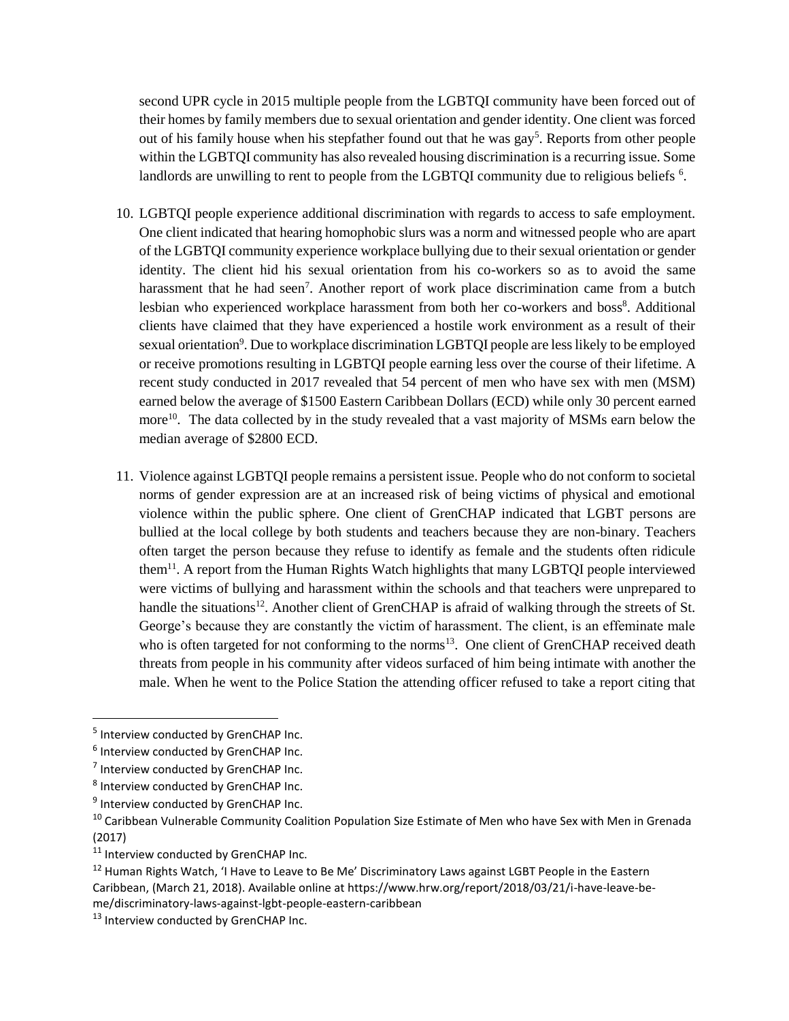second UPR cycle in 2015 multiple people from the LGBTQI community have been forced out of their homes by family members due to sexual orientation and gender identity. One client was forced out of his family house when his stepfather found out that he was gay<sup>5</sup>. Reports from other people within the LGBTQI community has also revealed housing discrimination is a recurring issue. Some landlords are unwilling to rent to people from the LGBTQI community due to religious beliefs <sup>6</sup>.

- 10. LGBTQI people experience additional discrimination with regards to access to safe employment. One client indicated that hearing homophobic slurs was a norm and witnessed people who are apart of the LGBTQI community experience workplace bullying due to their sexual orientation or gender identity. The client hid his sexual orientation from his co-workers so as to avoid the same harassment that he had seen<sup>7</sup>. Another report of work place discrimination came from a butch lesbian who experienced workplace harassment from both her co-workers and boss<sup>8</sup>. Additional clients have claimed that they have experienced a hostile work environment as a result of their sexual orientation<sup>9</sup>. Due to workplace discrimination LGBTQI people are less likely to be employed or receive promotions resulting in LGBTQI people earning less over the course of their lifetime. A recent study conducted in 2017 revealed that 54 percent of men who have sex with men (MSM) earned below the average of \$1500 Eastern Caribbean Dollars (ECD) while only 30 percent earned more<sup>10</sup>. The data collected by in the study revealed that a vast majority of MSMs earn below the median average of \$2800 ECD.
- 11. Violence against LGBTQI people remains a persistent issue. People who do not conform to societal norms of gender expression are at an increased risk of being victims of physical and emotional violence within the public sphere. One client of GrenCHAP indicated that LGBT persons are bullied at the local college by both students and teachers because they are non-binary. Teachers often target the person because they refuse to identify as female and the students often ridicule them<sup>11</sup>. A report from the Human Rights Watch highlights that many LGBTQI people interviewed were victims of bullying and harassment within the schools and that teachers were unprepared to handle the situations<sup>12</sup>. Another client of GrenCHAP is afraid of walking through the streets of St. George's because they are constantly the victim of harassment. The client, is an effeminate male who is often targeted for not conforming to the norms<sup>13</sup>. One client of GrenCHAP received death threats from people in his community after videos surfaced of him being intimate with another the male. When he went to the Police Station the attending officer refused to take a report citing that

 $\overline{\phantom{a}}$ 

<sup>&</sup>lt;sup>5</sup> Interview conducted by GrenCHAP Inc.

<sup>&</sup>lt;sup>6</sup> Interview conducted by GrenCHAP Inc.

<sup>&</sup>lt;sup>7</sup> Interview conducted by GrenCHAP Inc.

<sup>&</sup>lt;sup>8</sup> Interview conducted by GrenCHAP Inc.

<sup>&</sup>lt;sup>9</sup> Interview conducted by GrenCHAP Inc.

<sup>&</sup>lt;sup>10</sup> Caribbean Vulnerable Community Coalition Population Size Estimate of Men who have Sex with Men in Grenada (2017)

<sup>&</sup>lt;sup>11</sup> Interview conducted by GrenCHAP Inc.

<sup>&</sup>lt;sup>12</sup> Human Rights Watch, 'I Have to Leave to Be Me' Discriminatory Laws against LGBT People in the Eastern Caribbean, (March 21, 2018). Available online at https://www.hrw.org/report/2018/03/21/i-have-leave-beme/discriminatory-laws-against-lgbt-people-eastern-caribbean

<sup>13</sup> Interview conducted by GrenCHAP Inc.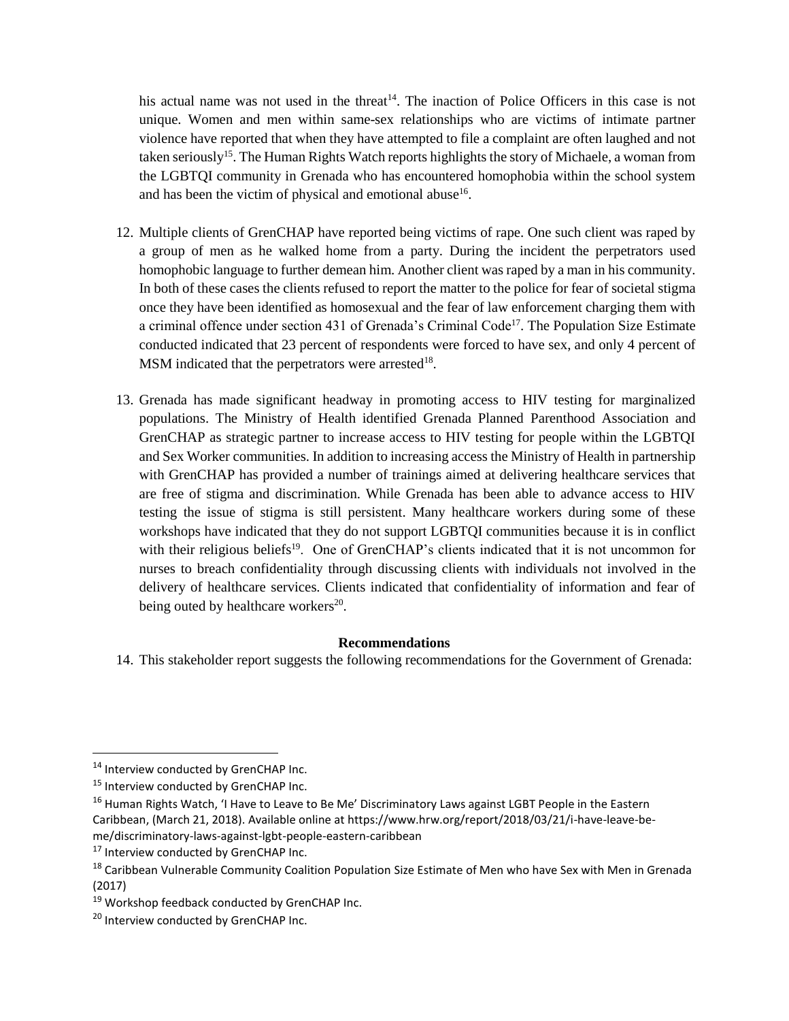his actual name was not used in the threat<sup>14</sup>. The inaction of Police Officers in this case is not unique. Women and men within same-sex relationships who are victims of intimate partner violence have reported that when they have attempted to file a complaint are often laughed and not taken seriously<sup>15</sup>. The Human Rights Watch reports highlights the story of Michaele, a woman from the LGBTQI community in Grenada who has encountered homophobia within the school system and has been the victim of physical and emotional abuse $16$ .

- 12. Multiple clients of GrenCHAP have reported being victims of rape. One such client was raped by a group of men as he walked home from a party. During the incident the perpetrators used homophobic language to further demean him. Another client was raped by a man in his community. In both of these cases the clients refused to report the matter to the police for fear of societal stigma once they have been identified as homosexual and the fear of law enforcement charging them with a criminal offence under section 431 of Grenada's Criminal Code<sup>17</sup>. The Population Size Estimate conducted indicated that 23 percent of respondents were forced to have sex, and only 4 percent of  $MSM$  indicated that the perpetrators were arrested<sup>18</sup>.
- 13. Grenada has made significant headway in promoting access to HIV testing for marginalized populations. The Ministry of Health identified Grenada Planned Parenthood Association and GrenCHAP as strategic partner to increase access to HIV testing for people within the LGBTQI and Sex Worker communities. In addition to increasing access the Ministry of Health in partnership with GrenCHAP has provided a number of trainings aimed at delivering healthcare services that are free of stigma and discrimination. While Grenada has been able to advance access to HIV testing the issue of stigma is still persistent. Many healthcare workers during some of these workshops have indicated that they do not support LGBTQI communities because it is in conflict with their religious beliefs<sup>19</sup>. One of GrenCHAP's clients indicated that it is not uncommon for nurses to breach confidentiality through discussing clients with individuals not involved in the delivery of healthcare services. Clients indicated that confidentiality of information and fear of being outed by healthcare workers<sup>20</sup>.

## **Recommendations**

14. This stakeholder report suggests the following recommendations for the Government of Grenada:

l

<sup>&</sup>lt;sup>14</sup> Interview conducted by GrenCHAP Inc.

<sup>15</sup> Interview conducted by GrenCHAP Inc.

<sup>&</sup>lt;sup>16</sup> Human Rights Watch, 'I Have to Leave to Be Me' Discriminatory Laws against LGBT People in the Eastern Caribbean, (March 21, 2018). Available online at https://www.hrw.org/report/2018/03/21/i-have-leave-beme/discriminatory-laws-against-lgbt-people-eastern-caribbean

<sup>&</sup>lt;sup>17</sup> Interview conducted by GrenCHAP Inc.

<sup>&</sup>lt;sup>18</sup> Caribbean Vulnerable Community Coalition Population Size Estimate of Men who have Sex with Men in Grenada (2017)

<sup>19</sup> Workshop feedback conducted by GrenCHAP Inc.

<sup>&</sup>lt;sup>20</sup> Interview conducted by GrenCHAP Inc.